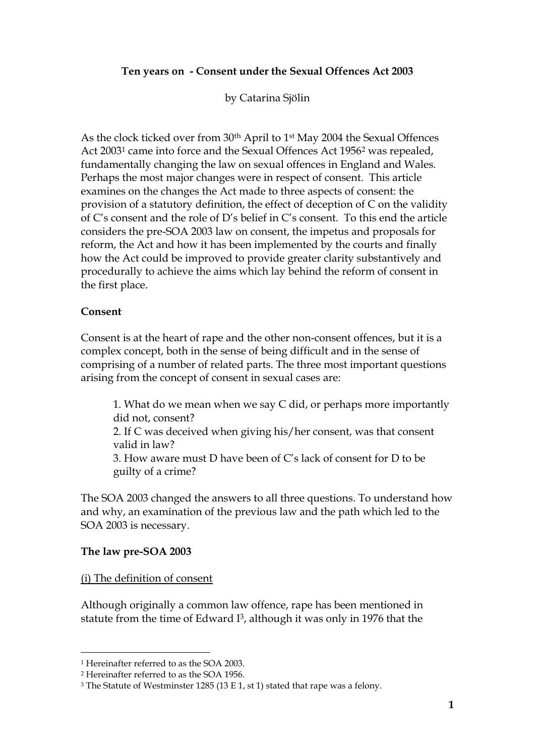### **Ten years on - Consent under the Sexual Offences Act 2003**

by Catarina Sjölin

As the clock ticked over from 30<sup>th</sup> April to 1<sup>st</sup> May 2004 the Sexual Offences Act 2003<sup>1</sup> came into force and the Sexual Offences Act 1956<sup>2</sup> was repealed, fundamentally changing the law on sexual offences in England and Wales. Perhaps the most major changes were in respect of consent. This article examines on the changes the Act made to three aspects of consent: the provision of a statutory definition, the effect of deception of C on the validity of C's consent and the role of D's belief in C's consent. To this end the article considers the pre-SOA 2003 law on consent, the impetus and proposals for reform, the Act and how it has been implemented by the courts and finally how the Act could be improved to provide greater clarity substantively and procedurally to achieve the aims which lay behind the reform of consent in the first place.

#### **Consent**

Consent is at the heart of rape and the other non-consent offences, but it is a complex concept, both in the sense of being difficult and in the sense of comprising of a number of related parts. The three most important questions arising from the concept of consent in sexual cases are:

1. What do we mean when we say C did, or perhaps more importantly did not, consent? 2. If C was deceived when giving his/her consent, was that consent valid in law? 3. How aware must D have been of C's lack of consent for D to be guilty of a crime?

The SOA 2003 changed the answers to all three questions. To understand how and why, an examination of the previous law and the path which led to the SOA 2003 is necessary.

#### **The law pre-SOA 2003**

#### (i) The definition of consent

Although originally a common law offence, rape has been mentioned in statute from the time of Edward I <sup>3</sup>, although it was only in 1976 that the

<sup>1</sup> Hereinafter referred to as the SOA 2003.

<sup>2</sup> Hereinafter referred to as the SOA 1956.

<sup>3</sup> The Statute of Westminster 1285 (13 E 1, st 1) stated that rape was a felony.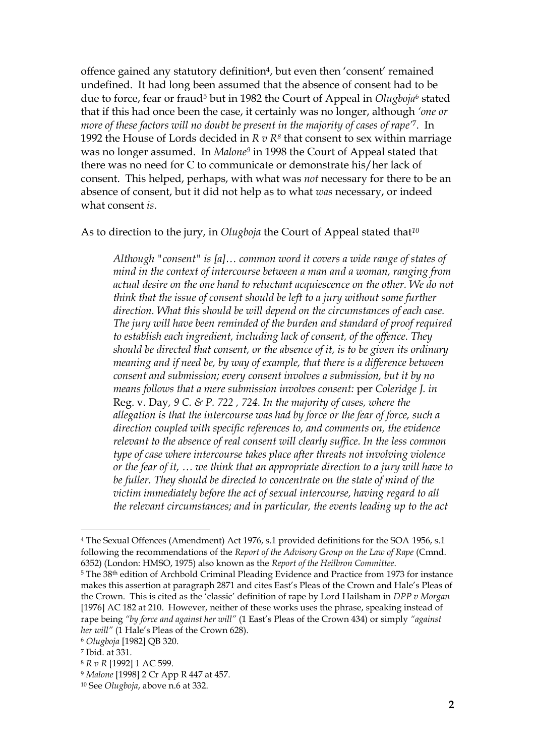offence gained any statutory definition4, but even then 'consent' remained undefined. It had long been assumed that the absence of consent had to be due to force, fear or fraud<sup>5</sup> but in 1982 the Court of Appeal in *Olugboja<sup>6</sup>* stated that if this had once been the case, it certainly was no longer, although *'one or more of these factors will no doubt be present in the majority of cases of rape'*7. In 1992 the House of Lords decided in *R v R<sup>8</sup>* that consent to sex within marriage was no longer assumed. In *Malone<sup>9</sup>* in 1998 the Court of Appeal stated that there was no need for C to communicate or demonstrate his/her lack of consent. This helped, perhaps, with what was *not* necessary for there to be an absence of consent, but it did not help as to what *was* necessary, or indeed what consent *is*.

As to direction to the jury, in *Olugboja* the Court of Appeal stated that*<sup>10</sup>*

*Although "consent" is [a]… common word it covers a wide range of states of mind in the context of intercourse between a man and a woman, ranging from actual desire on the one hand to reluctant acquiescence on the other. We do not think that the issue of consent should be left to a jury without some further direction. What this should be will depend on the circumstances of each case. The jury will have been reminded of the burden and standard of proof required to establish each ingredient, including lack of consent, of the offence. They should be directed that consent, or the absence of it, is to be given its ordinary meaning and if need be, by way of example, that there is a difference between consent and submission; every consent involves a submission, but it by no means follows that a mere submission involves consent:* per *Coleridge J. in*  Reg. v. Day*, 9 C. & P. 722 , 724. In the majority of cases, where the allegation is that the intercourse was had by force or the fear of force, such a direction coupled with specific references to, and comments on, the evidence relevant to the absence of real consent will clearly suffice. In the less common type of case where intercourse takes place after threats not involving violence or the fear of it, … we think that an appropriate direction to a jury will have to be fuller. They should be directed to concentrate on the state of mind of the victim immediately before the act of sexual intercourse, having regard to all the relevant circumstances; and in particular, the events leading up to the act* 

<sup>4</sup> The Sexual Offences (Amendment) Act 1976, s.1 provided definitions for the SOA 1956, s.1 following the recommendations of the *Report of the Advisory Group on the Law of Rape* (Cmnd. 6352) (London: HMSO, 1975) also known as the *Report of the Heilbron Committee*.

<sup>&</sup>lt;sup>5</sup> The 38<sup>th</sup> edition of Archbold Criminal Pleading Evidence and Practice from 1973 for instance makes this assertion at paragraph 2871 and cites East's Pleas of the Crown and Hale's Pleas of the Crown. This is cited as the 'classic' definition of rape by Lord Hailsham in *DPP v Morgan* [1976] AC 182 at 210. However, neither of these works uses the phrase, speaking instead of rape being *"by force and against her will"* (1 East's Pleas of the Crown 434) or simply *"against her will"* (1 Hale's Pleas of the Crown 628).

<sup>6</sup> *Olugboja* [1982] QB 320.

<sup>7</sup> Ibid. at 331.

<sup>8</sup> *R v R* [1992] 1 AC 599.

<sup>9</sup> *Malone* [1998] 2 Cr App R 447 at 457.

<sup>10</sup> See *Olugboja*, above n.6 at 332.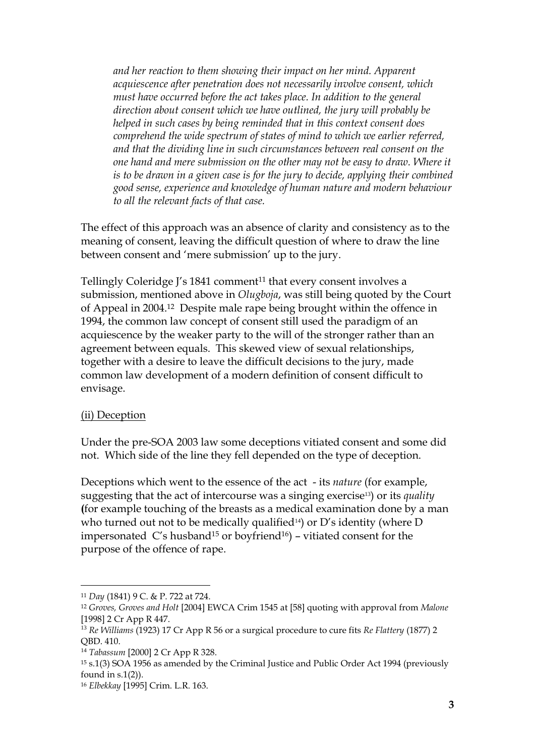*and her reaction to them showing their impact on her mind. Apparent acquiescence after penetration does not necessarily involve consent, which must have occurred before the act takes place. In addition to the general direction about consent which we have outlined, the jury will probably be helped in such cases by being reminded that in this context consent does comprehend the wide spectrum of states of mind to which we earlier referred, and that the dividing line in such circumstances between real consent on the one hand and mere submission on the other may not be easy to draw. Where it is to be drawn in a given case is for the jury to decide, applying their combined good sense, experience and knowledge of human nature and modern behaviour to all the relevant facts of that case.*

The effect of this approach was an absence of clarity and consistency as to the meaning of consent, leaving the difficult question of where to draw the line between consent and 'mere submission' up to the jury.

Tellingly Coleridge J's 1841 comment<sup>11</sup> that every consent involves a submission, mentioned above in *Olugboja*, was still being quoted by the Court of Appeal in 2004. <sup>12</sup> Despite male rape being brought within the offence in 1994, the common law concept of consent still used the paradigm of an acquiescence by the weaker party to the will of the stronger rather than an agreement between equals. This skewed view of sexual relationships, together with a desire to leave the difficult decisions to the jury, made common law development of a modern definition of consent difficult to envisage.

#### (ii) Deception

Under the pre-SOA 2003 law some deceptions vitiated consent and some did not. Which side of the line they fell depended on the type of deception.

Deceptions which went to the essence of the act - its *nature* (for example, suggesting that the act of intercourse was a singing exercise13) or its *quality* **(**for example touching of the breasts as a medical examination done by a man who turned out not to be medically qualified<sup>14</sup>) or D's identity (where D impersonated  $C'$ s husband<sup>15</sup> or boyfriend<sup>16</sup>) – vitiated consent for the purpose of the offence of rape.

<sup>11</sup> *Day* (1841) 9 C. & P. 722 at 724.

<sup>12</sup> *Groves, Groves and Holt* [2004] EWCA Crim 1545 at [58] quoting with approval from *Malone* [1998] 2 Cr App R 447.

<sup>13</sup> *Re Williams* (1923) 17 Cr App R 56 or a surgical procedure to cure fits *Re Flattery* (1877) 2 QBD. 410.

<sup>14</sup> *Tabassum* [2000] 2 Cr App R 328.

<sup>15</sup> s.1(3) SOA 1956 as amended by the Criminal Justice and Public Order Act 1994 (previously found in s.1(2)).

<sup>16</sup> *Elbekkay* [1995] Crim. L.R. 163.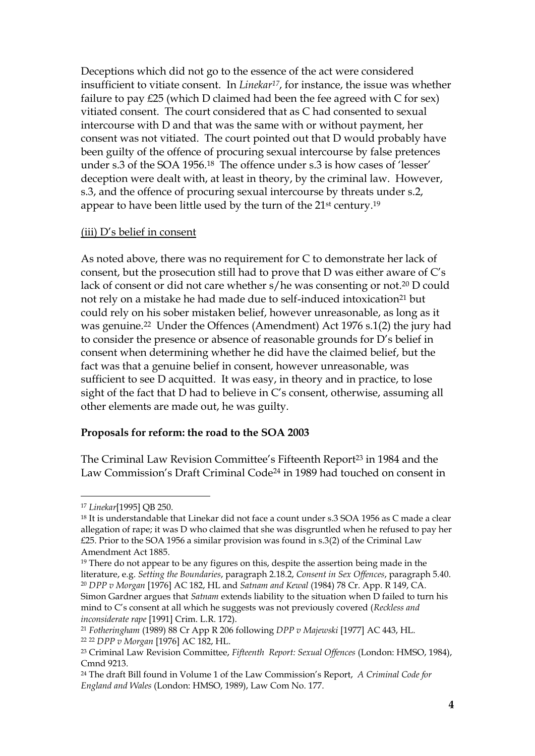Deceptions which did not go to the essence of the act were considered insufficient to vitiate consent. In *Linekar17*, for instance, the issue was whether failure to pay £25 (which D claimed had been the fee agreed with C for sex) vitiated consent. The court considered that as C had consented to sexual intercourse with D and that was the same with or without payment, her consent was not vitiated. The court pointed out that D would probably have been guilty of the offence of procuring sexual intercourse by false pretences under s.3 of the SOA 1956.18 The offence under s.3 is how cases of 'lesser' deception were dealt with, at least in theory, by the criminal law. However, s.3, and the offence of procuring sexual intercourse by threats under s.2, appear to have been little used by the turn of the 21st century.<sup>19</sup>

#### (iii) D's belief in consent

As noted above, there was no requirement for C to demonstrate her lack of consent, but the prosecution still had to prove that D was either aware of C's lack of consent or did not care whether s/he was consenting or not. <sup>20</sup> D could not rely on a mistake he had made due to self-induced intoxication<sup>21</sup> but could rely on his sober mistaken belief, however unreasonable, as long as it was genuine.22 Under the Offences (Amendment) Act 1976 s.1(2) the jury had to consider the presence or absence of reasonable grounds for D's belief in consent when determining whether he did have the claimed belief, but the fact was that a genuine belief in consent, however unreasonable, was sufficient to see D acquitted. It was easy, in theory and in practice, to lose sight of the fact that D had to believe in C's consent, otherwise, assuming all other elements are made out, he was guilty.

#### **Proposals for reform: the road to the SOA 2003**

The Criminal Law Revision Committee's Fifteenth Report<sup>23</sup> in 1984 and the Law Commission's Draft Criminal Code<sup>24</sup> in 1989 had touched on consent in

<sup>17</sup> *Linekar*[1995] QB 250.

<sup>&</sup>lt;sup>18</sup> It is understandable that Linekar did not face a count under s.3 SOA 1956 as C made a clear allegation of rape; it was D who claimed that she was disgruntled when he refused to pay her £25. Prior to the SOA 1956 a similar provision was found in s.3(2) of the Criminal Law Amendment Act 1885.

<sup>&</sup>lt;sup>19</sup> There do not appear to be any figures on this, despite the assertion being made in the literature, e.g. *Setting the Boundaries*, paragraph 2.18.2, *Consent in Sex Offences*, paragraph 5.40. <sup>20</sup> *DPP v Morgan* [1976] AC 182, HL and *Satnam and Kewal* (1984) 78 Cr. App. R 149, CA. Simon Gardner argues that *Satnam* extends liability to the situation when D failed to turn his mind to C's consent at all which he suggests was not previously covered (*Reckless and inconsiderate rape* [1991] Crim. L.R. 172).

<sup>21</sup> *Fotheringham* (1989) 88 Cr App R 206 following *DPP v Majewski* [1977] AC 443, HL. <sup>22</sup> <sup>22</sup> *DPP v Morgan* [1976] AC 182, HL.

<sup>23</sup> Criminal Law Revision Committee, *Fifteenth Report: Sexual Offences* (London: HMSO, 1984), Cmnd 9213.

<sup>24</sup> The draft Bill found in Volume 1 of the Law Commission's Report, *A Criminal Code for England and Wales* (London: HMSO, 1989), Law Com No. 177.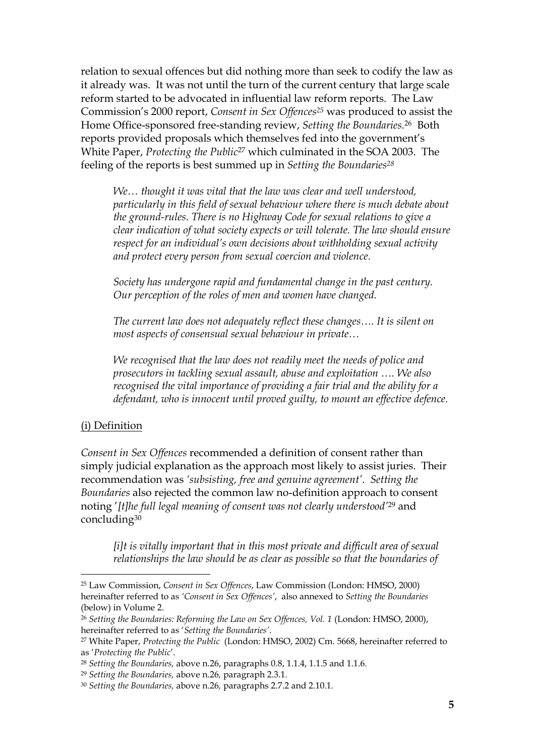relation to sexual offences but did nothing more than seek to codify the law as it already was. It was not until the turn of the current century that large scale reform started to be advocated in influential law reform reports. The Law Commission's 2000 report, *Consent in Sex Offences<sup>25</sup>* was produced to assist the Home Office-sponsored free-standing review, *Setting the Boundaries.* <sup>26</sup> Both reports provided proposals which themselves fed into the government's White Paper, *Protecting the Public*<sup>27</sup> which culminated in the SOA 2003. The feeling of the reports is best summed up in *Setting the Boundaries<sup>28</sup>*

*We… thought it was vital that the law was clear and well understood, particularly in this field of sexual behaviour where there is much debate about the ground-rules. There is no Highway Code for sexual relations to give a clear indication of what society expects or will tolerate. The law should ensure respect for an individual's own decisions about withholding sexual activity and protect every person from sexual coercion and violence.*

*Society has undergone rapid and fundamental change in the past century. Our perception of the roles of men and women have changed.* 

*The current law does not adequately reflect these changes…. It is silent on most aspects of consensual sexual behaviour in private…*

*We recognised that the law does not readily meet the needs of police and prosecutors in tackling sexual assault, abuse and exploitation …. We also recognised the vital importance of providing a fair trial and the ability for a defendant, who is innocent until proved guilty, to mount an effective defence.*

#### (i) Definition

*Consent in Sex Offences* recommended a definition of consent rather than simply judicial explanation as the approach most likely to assist juries. Their recommendation was *'subsisting, free and genuine agreement'*. *Setting the Boundaries* also rejected the common law no-definition approach to consent noting '*[t]he full legal meaning of consent was not clearly understood'* <sup>29</sup> and concluding<sup>30</sup>

*[i]t is vitally important that in this most private and difficult area of sexual relationships the law should be as clear as possible so that the boundaries of* 

<sup>25</sup> Law Commission, *Consent in Sex Offences*, Law Commission (London: HMSO, 2000) hereinafter referred to as *'Consent in Sex Offences'*, also annexed to *Setting the Boundaries*  (below) in Volume 2.

<sup>26</sup> *Setting the Boundaries: Reforming the Law on Sex Offences, Vol. 1* (London: HMSO, 2000), hereinafter referred to as '*Setting the Boundaries'*.

<sup>27</sup> White Paper, *Protecting the Public* (London: HMSO, 2002) Cm. 5668, hereinafter referred to as '*Protecting the Public*'.

<sup>28</sup> *Setting the Boundaries,* above n.26, paragraphs 0.8, 1.1.4, 1.1.5 and 1.1.6*.*

<sup>29</sup> *Setting the Boundaries,* above n.26*,* paragraph 2.3.1*.*

<sup>30</sup> *Setting the Boundaries,* above n.26*,* paragraphs 2.7.2 and 2.10.1*.*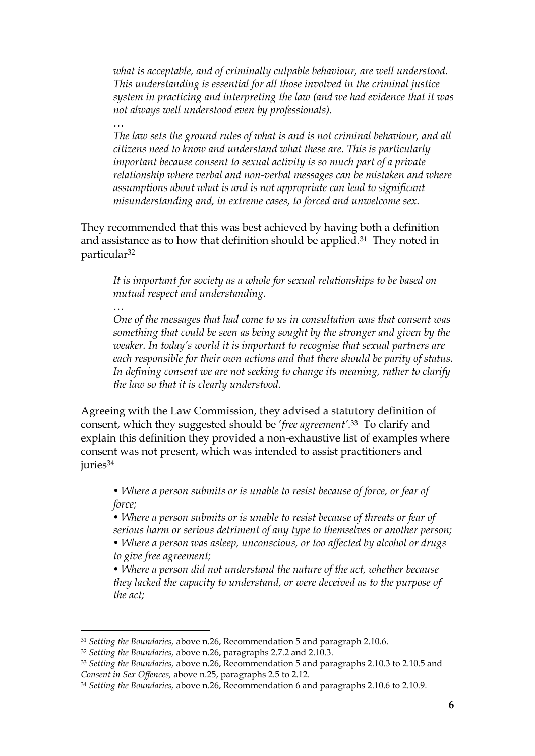*what is acceptable, and of criminally culpable behaviour, are well understood. This understanding is essential for all those involved in the criminal justice system in practicing and interpreting the law (and we had evidence that it was not always well understood even by professionals).* 

*… The law sets the ground rules of what is and is not criminal behaviour, and all citizens need to know and understand what these are. This is particularly important because consent to sexual activity is so much part of a private relationship where verbal and non-verbal messages can be mistaken and where assumptions about what is and is not appropriate can lead to significant misunderstanding and, in extreme cases, to forced and unwelcome sex.*

They recommended that this was best achieved by having both a definition and assistance as to how that definition should be applied.<sup>31</sup> They noted in particular<sup>32</sup>

*…*

*It is important for society as a whole for sexual relationships to be based on mutual respect and understanding.*

*One of the messages that had come to us in consultation was that consent was something that could be seen as being sought by the stronger and given by the weaker. In today's world it is important to recognise that sexual partners are each responsible for their own actions and that there should be parity of status. In defining consent we are not seeking to change its meaning, rather to clarify the law so that it is clearly understood.*

Agreeing with the Law Commission, they advised a statutory definition of consent, which they suggested should be '*free agreement'.* <sup>33</sup> To clarify and explain this definition they provided a non-exhaustive list of examples where consent was not present, which was intended to assist practitioners and juries<sup>34</sup>

• Where a person submits or is unable to resist because of force, or fear of *force;*

• Where a person submits or is unable to resist because of threats or fear of *serious harm or serious detriment of any type to themselves or another person;*

*• Where a person was asleep, unconscious, or too affected by alcohol or drugs to give free agreement;*

*• Where a person did not understand the nature of the act, whether because they lacked the capacity to understand, or were deceived as to the purpose of the act;*

<sup>31</sup> *Setting the Boundaries,* above n.26, Recommendation 5 and paragraph 2.10.6.

<sup>32</sup> *Setting the Boundaries,* above n.26, paragraphs 2.7.2 and 2.10.3.

<sup>33</sup> *Setting the Boundaries,* above n.26, Recommendation 5 and paragraphs 2.10.3 to 2.10.5 and *Consent in Sex Offences,* above n.25, paragraphs 2.5 to 2.12.

<sup>34</sup> *Setting the Boundaries,* above n.26, Recommendation 6 and paragraphs 2.10.6 to 2.10.9.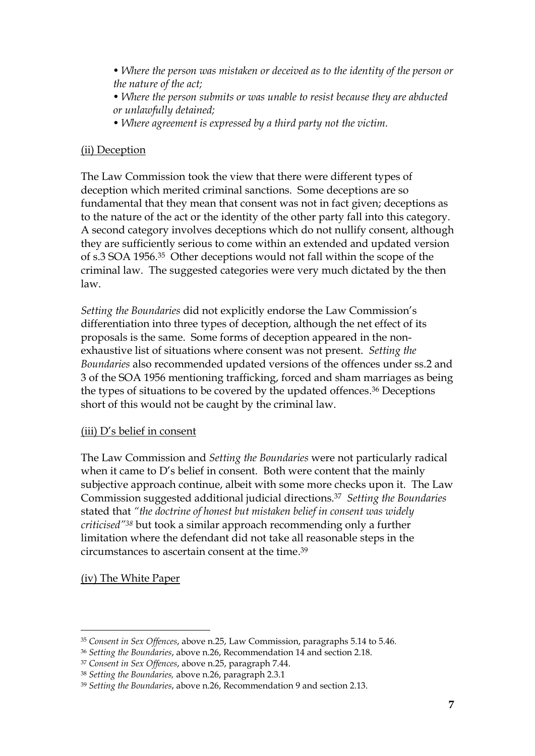• Where the person was mistaken or deceived as to the identity of the person or *the nature of the act;*

*• Where the person submits or was unable to resist because they are abducted or unlawfully detained;*

*• Where agreement is expressed by a third party not the victim.*

## (ii) Deception

The Law Commission took the view that there were different types of deception which merited criminal sanctions. Some deceptions are so fundamental that they mean that consent was not in fact given; deceptions as to the nature of the act or the identity of the other party fall into this category. A second category involves deceptions which do not nullify consent, although they are sufficiently serious to come within an extended and updated version of s.3 SOA 1956.35 Other deceptions would not fall within the scope of the criminal law. The suggested categories were very much dictated by the then law.

*Setting the Boundaries* did not explicitly endorse the Law Commission's differentiation into three types of deception, although the net effect of its proposals is the same. Some forms of deception appeared in the nonexhaustive list of situations where consent was not present. *Setting the Boundaries* also recommended updated versions of the offences under ss.2 and 3 of the SOA 1956 mentioning trafficking, forced and sham marriages as being the types of situations to be covered by the updated offences. <sup>36</sup> Deceptions short of this would not be caught by the criminal law.

#### (iii) D's belief in consent

The Law Commission and *Setting the Boundaries* were not particularly radical when it came to D's belief in consent. Both were content that the mainly subjective approach continue, albeit with some more checks upon it. The Law Commission suggested additional judicial directions.<sup>37</sup> *Setting the Boundaries*  stated that *"the doctrine of honest but mistaken belief in consent was widely criticised"<sup>38</sup>* but took a similar approach recommending only a further limitation where the defendant did not take all reasonable steps in the circumstances to ascertain consent at the time. 39

# (iv) The White Paper

<sup>35</sup> *Consent in Sex Offences*, above n.25, Law Commission, paragraphs 5.14 to 5.46.

<sup>36</sup> *Setting the Boundaries*, above n.26, Recommendation 14 and section 2.18.

<sup>37</sup> *Consent in Sex Offences*, above n.25, paragraph 7.44.

<sup>38</sup> *Setting the Boundaries,* above n.26, paragraph 2.3.1

<sup>39</sup> *Setting the Boundaries*, above n.26, Recommendation 9 and section 2.13.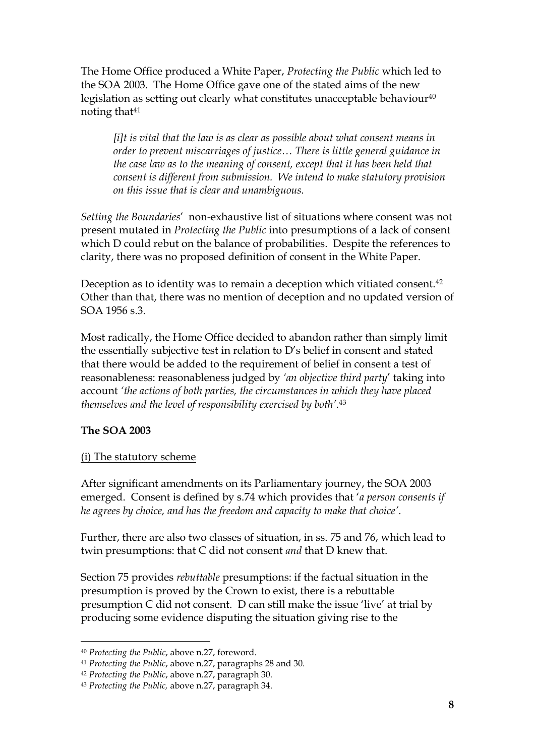The Home Office produced a White Paper, *Protecting the Public* which led to the SOA 2003. The Home Office gave one of the stated aims of the new legislation as setting out clearly what constitutes unacceptable behaviour $40$ noting that<sup>41</sup>

*[i]t is vital that the law is as clear as possible about what consent means in order to prevent miscarriages of justice… There is little general guidance in the case law as to the meaning of consent, except that it has been held that consent is different from submission. We intend to make statutory provision on this issue that is clear and unambiguous.*

*Setting the Boundaries*' non-exhaustive list of situations where consent was not present mutated in *Protecting the Public* into presumptions of a lack of consent which D could rebut on the balance of probabilities. Despite the references to clarity, there was no proposed definition of consent in the White Paper.

Deception as to identity was to remain a deception which vitiated consent.<sup>42</sup> Other than that, there was no mention of deception and no updated version of SOA 1956 s.3.

Most radically, the Home Office decided to abandon rather than simply limit the essentially subjective test in relation to D's belief in consent and stated that there would be added to the requirement of belief in consent a test of reasonableness: reasonableness judged by *'an objective third party*' taking into account *'the actions of both parties, the circumstances in which they have placed themselves and the level of responsibility exercised by both'*. 43

#### **The SOA 2003**

### (i) The statutory scheme

After significant amendments on its Parliamentary journey, the SOA 2003 emerged. Consent is defined by s.74 which provides that '*a person consents if he agrees by choice, and has the freedom and capacity to make that choice'*.

Further, there are also two classes of situation, in ss. 75 and 76, which lead to twin presumptions: that C did not consent *and* that D knew that.

Section 75 provides *rebuttable* presumptions: if the factual situation in the presumption is proved by the Crown to exist, there is a rebuttable presumption C did not consent. D can still make the issue 'live' at trial by producing some evidence disputing the situation giving rise to the

<sup>40</sup> *Protecting the Public*, above n.27, foreword.

<sup>41</sup> *Protecting the Public*, above n.27, paragraphs 28 and 30.

<sup>42</sup> *Protecting the Public*, above n.27, paragraph 30.

<sup>43</sup> *Protecting the Public,* above n.27, paragraph 34.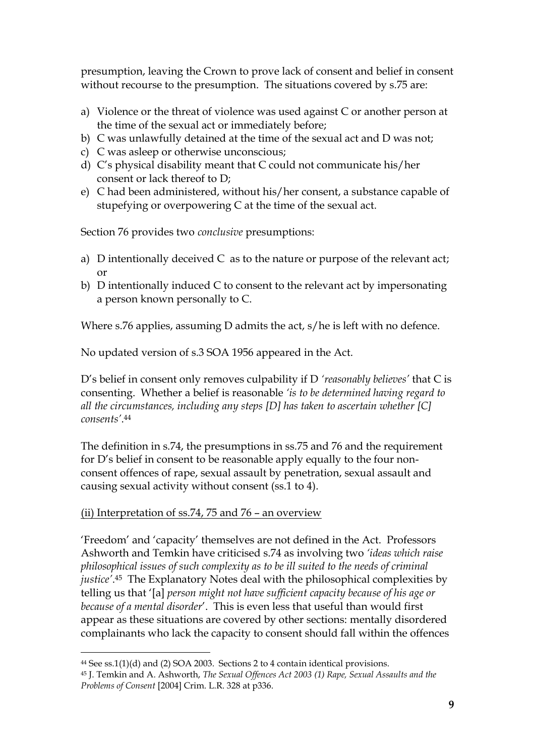presumption, leaving the Crown to prove lack of consent and belief in consent without recourse to the presumption. The situations covered by s.75 are:

- a) Violence or the threat of violence was used against C or another person at the time of the sexual act or immediately before;
- b) C was unlawfully detained at the time of the sexual act and D was not;
- c) C was asleep or otherwise unconscious;
- d) C's physical disability meant that C could not communicate his/her consent or lack thereof to D;
- e) C had been administered, without his/her consent, a substance capable of stupefying or overpowering C at the time of the sexual act.

Section 76 provides two *conclusive* presumptions:

- a) D intentionally deceived C as to the nature or purpose of the relevant act; or
- b) D intentionally induced C to consent to the relevant act by impersonating a person known personally to C.

Where s.76 applies, assuming D admits the act, s/he is left with no defence.

No updated version of s.3 SOA 1956 appeared in the Act.

D's belief in consent only removes culpability if D *'reasonably believes'* that C is consenting. Whether a belief is reasonable *'is to be determined having regard to all the circumstances, including any steps [D] has taken to ascertain whether [C] consents'*. 44

The definition in s.74, the presumptions in ss.75 and 76 and the requirement for D's belief in consent to be reasonable apply equally to the four nonconsent offences of rape, sexual assault by penetration, sexual assault and causing sexual activity without consent (ss.1 to 4).

# (ii) Interpretation of ss.74, 75 and 76 – an overview

'Freedom' and 'capacity' themselves are not defined in the Act. Professors Ashworth and Temkin have criticised s.74 as involving two *'ideas which raise philosophical issues of such complexity as to be ill suited to the needs of criminal justice'*. <sup>45</sup> The Explanatory Notes deal with the philosophical complexities by telling us that '[a] *person might not have sufficient capacity because of his age or because of a mental disorder*'. This is even less that useful than would first appear as these situations are covered by other sections: mentally disordered complainants who lack the capacity to consent should fall within the offences

<sup>44</sup> See ss.1(1)(d) and (2) SOA 2003. Sections 2 to 4 contain identical provisions.

<sup>45</sup> J. Temkin and A. Ashworth, *The Sexual Offences Act 2003 (1) Rape, Sexual Assaults and the Problems of Consent* [2004] Crim. L.R. 328 at p336.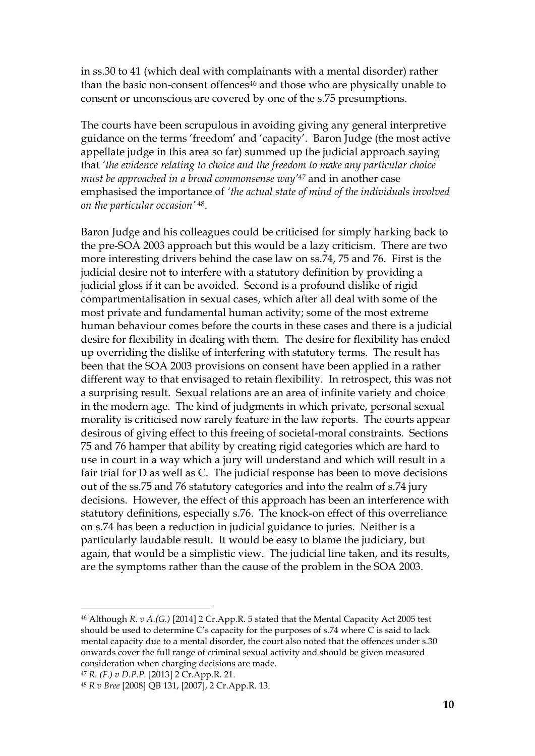in ss.30 to 41 (which deal with complainants with a mental disorder) rather than the basic non-consent offences<sup>46</sup> and those who are physically unable to consent or unconscious are covered by one of the s.75 presumptions.

The courts have been scrupulous in avoiding giving any general interpretive guidance on the terms 'freedom' and 'capacity'. Baron Judge (the most active appellate judge in this area so far) summed up the judicial approach saying that *'the evidence relating to choice and the freedom to make any particular choice must be approached in a broad commonsense way' <sup>47</sup>* and in another case emphasised the importance of *'the actual state of mind of the individuals involved on the particular occasion'* <sup>48</sup>.

Baron Judge and his colleagues could be criticised for simply harking back to the pre-SOA 2003 approach but this would be a lazy criticism. There are two more interesting drivers behind the case law on ss.74, 75 and 76. First is the judicial desire not to interfere with a statutory definition by providing a judicial gloss if it can be avoided. Second is a profound dislike of rigid compartmentalisation in sexual cases, which after all deal with some of the most private and fundamental human activity; some of the most extreme human behaviour comes before the courts in these cases and there is a judicial desire for flexibility in dealing with them. The desire for flexibility has ended up overriding the dislike of interfering with statutory terms. The result has been that the SOA 2003 provisions on consent have been applied in a rather different way to that envisaged to retain flexibility. In retrospect, this was not a surprising result. Sexual relations are an area of infinite variety and choice in the modern age. The kind of judgments in which private, personal sexual morality is criticised now rarely feature in the law reports. The courts appear desirous of giving effect to this freeing of societal-moral constraints. Sections 75 and 76 hamper that ability by creating rigid categories which are hard to use in court in a way which a jury will understand and which will result in a fair trial for D as well as C. The judicial response has been to move decisions out of the ss.75 and 76 statutory categories and into the realm of s.74 jury decisions. However, the effect of this approach has been an interference with statutory definitions, especially s.76. The knock-on effect of this overreliance on s.74 has been a reduction in judicial guidance to juries. Neither is a particularly laudable result. It would be easy to blame the judiciary, but again, that would be a simplistic view. The judicial line taken, and its results, are the symptoms rather than the cause of the problem in the SOA 2003.

<sup>46</sup> Although *R. v A.(G.)* [2014] 2 Cr.App.R. 5 stated that the Mental Capacity Act 2005 test should be used to determine C's capacity for the purposes of s.74 where C is said to lack mental capacity due to a mental disorder, the court also noted that the offences under s.30 onwards cover the full range of criminal sexual activity and should be given measured consideration when charging decisions are made.

<sup>47</sup> *R. (F.) v D.P.P.* [2013] 2 Cr.App.R. 21.

<sup>48</sup> *R v Bree* [2008] QB 131, [2007], 2 Cr.App.R. 13.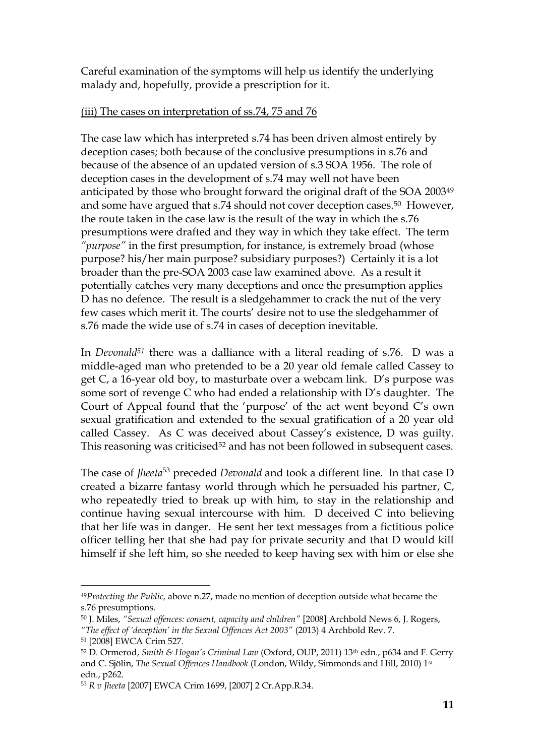Careful examination of the symptoms will help us identify the underlying malady and, hopefully, provide a prescription for it.

# (iii) The cases on interpretation of ss.74, 75 and 76

The case law which has interpreted s.74 has been driven almost entirely by deception cases; both because of the conclusive presumptions in s.76 and because of the absence of an updated version of s.3 SOA 1956. The role of deception cases in the development of s.74 may well not have been anticipated by those who brought forward the original draft of the SOA 2003<sup>49</sup> and some have argued that s.74 should not cover deception cases.50 However, the route taken in the case law is the result of the way in which the s.76 presumptions were drafted and they way in which they take effect. The term *"purpose"* in the first presumption, for instance, is extremely broad (whose purpose? his/her main purpose? subsidiary purposes?) Certainly it is a lot broader than the pre-SOA 2003 case law examined above. As a result it potentially catches very many deceptions and once the presumption applies D has no defence. The result is a sledgehammer to crack the nut of the very few cases which merit it. The courts' desire not to use the sledgehammer of s.76 made the wide use of s.74 in cases of deception inevitable.

In *Devonald<sup>51</sup>* there was a dalliance with a literal reading of s.76. D was a middle-aged man who pretended to be a 20 year old female called Cassey to get C, a 16-year old boy, to masturbate over a webcam link. D's purpose was some sort of revenge C who had ended a relationship with D's daughter. The Court of Appeal found that the 'purpose' of the act went beyond C's own sexual gratification and extended to the sexual gratification of a 20 year old called Cassey. As C was deceived about Cassey's existence, D was guilty. This reasoning was criticised<sup>52</sup> and has not been followed in subsequent cases.

The case of *Jheeta*<sup>53</sup> preceded *Devonald* and took a different line. In that case D created a bizarre fantasy world through which he persuaded his partner, C, who repeatedly tried to break up with him, to stay in the relationship and continue having sexual intercourse with him. D deceived C into believing that her life was in danger. He sent her text messages from a fictitious police officer telling her that she had pay for private security and that D would kill himself if she left him, so she needed to keep having sex with him or else she

<sup>49</sup>*Protecting the Public,* above n.27, made no mention of deception outside what became the s.76 presumptions.

<sup>50</sup> J. Miles, *"Sexual offences: consent, capacity and children"* [2008] Archbold News 6, J. Rogers, *"The effect of 'deception' in the Sexual Offences Act 2003"* (2013) 4 Archbold Rev. 7.

<sup>51</sup> [2008] EWCA Crim 527.

<sup>52</sup> D. Ormerod, *Smith & Hogan's Criminal Law* (Oxford, OUP, 2011) 13th edn., p634 and F. Gerry and C. Sjölin, *The Sexual Offences Handbook* (London, Wildy, Simmonds and Hill, 2010) 1st edn., p262.

<sup>53</sup> *R v Jheeta* [2007] EWCA Crim 1699, [2007] 2 Cr.App.R.34.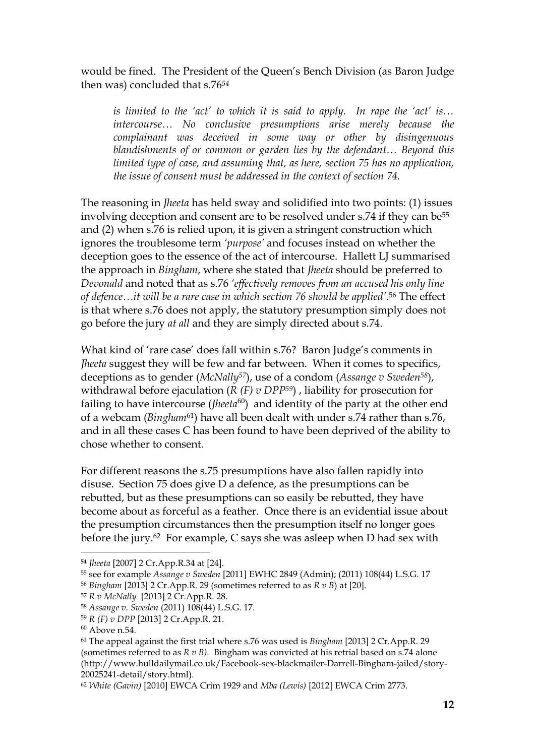would be fined. The President of the Queen's Bench Division (as Baron Judge then was) concluded that s.76*<sup>54</sup>*

*is limited to the 'act' to which it is said to apply. In rape the 'act' is… intercourse… No conclusive presumptions arise merely because the complainant was deceived in some way or other by disingenuous blandishments of or common or garden lies by the defendant… Beyond this limited type of case, and assuming that, as here, [section 75](http://login.westlaw.co.uk/maf/wluk/app/document?src=doc&linktype=ref&context=24&crumb-action=replace&docguid=ICEB91C20E45211DA8D70A0E70A78ED65) has no application, the issue of consent must be addressed in the context of [section 74.](http://login.westlaw.co.uk/maf/wluk/app/document?src=doc&linktype=ref&context=24&crumb-action=replace&docguid=ICEB8CE00E45211DA8D70A0E70A78ED65)*

The reasoning in *Jheeta* has held sway and solidified into two points: (1) issues involving deception and consent are to be resolved under s.74 if they can be<sup>55</sup> and (2) when s.76 is relied upon, it is given a stringent construction which ignores the troublesome term *'purpose'* and focuses instead on whether the deception goes to the essence of the act of intercourse. Hallett LJ summarised the approach in *Bingham*, where she stated that *Jheeta* should be preferred to *Devonald* and noted that as s.76 *'effectively removes from an accused his only line of defence…it will be a rare case in which section 76 should be applied'*. <sup>56</sup> The effect is that where s.76 does not apply, the statutory presumption simply does not go before the jury *at all* and they are simply directed about s.74.

What kind of 'rare case' does fall within s.76? Baron Judge's comments in *Jheeta* suggest they will be few and far between. When it comes to specifics, deceptions as to gender (*McNally57*), use of a condom (*Assange v Sweden58*), withdrawal before ejaculation (*R (F) v DPP59*) , liability for prosecution for failing to have intercourse (*Jheeta*<sup>60</sup>) and identity of the party at the other end of a webcam (*Bingham*61) have all been dealt with under s.74 rather than s.76, and in all these cases C has been found to have been deprived of the ability to chose whether to consent.

For different reasons the s.75 presumptions have also fallen rapidly into disuse. Section 75 does give D a defence, as the presumptions can be rebutted, but as these presumptions can so easily be rebutted, they have become about as forceful as a feather. Once there is an evidential issue about the presumption circumstances then the presumption itself no longer goes before the jury.62 For example, C says she was asleep when D had sex with

<sup>57</sup> *R v McNally* [2013] 2 Cr.App.R. 28.

**<sup>54</sup>** *Jheeta* [2007] 2 Cr.App.R.34 at [24].

<sup>55</sup> see for example *Assange v Sweden* [2011] EWHC 2849 (Admin); (2011) 108(44) L.S.G. 17

<sup>56</sup> *Bingham* [2013] 2 Cr.App.R. 29 (sometimes referred to as *R v B*) at [20].

<sup>58</sup> *Assange v. Sweden* (2011) 108(44) L.S.G. 17.

<sup>59</sup> *R (F) v DPP* [2013] 2 Cr.App.R. 21.

 $60$  Above n.54.

<sup>61</sup> The appeal against the first trial where s.76 was used is *Bingham* [2013] 2 Cr.App.R. 29 (sometimes referred to as *R v B).* Bingham was convicted at his retrial based on s.74 alone (http://www.hulldailymail.co.uk/Facebook-sex-blackmailer-Darrell-Bingham-jailed/story-20025241-detail/story.html).

<sup>62</sup> *White (Gavin)* [2010] EWCA Crim 1929 and *Mba (Lewis)* [2012] EWCA Crim 2773.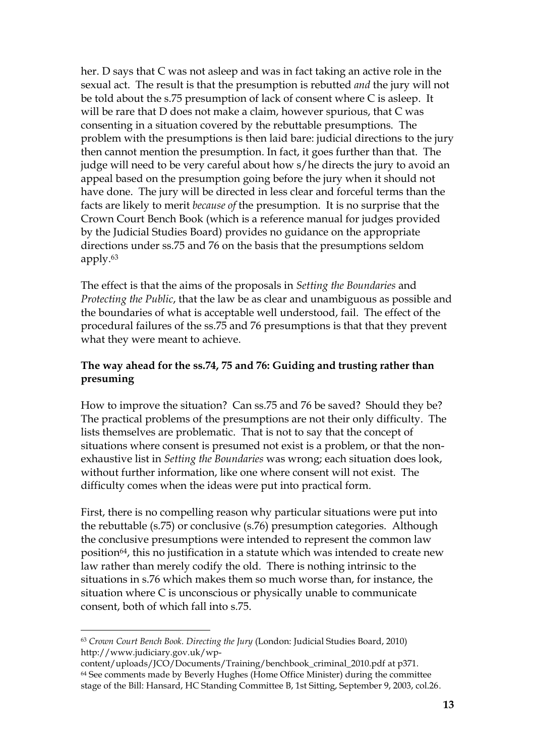her. D says that C was not asleep and was in fact taking an active role in the sexual act. The result is that the presumption is rebutted *and* the jury will not be told about the s.75 presumption of lack of consent where C is asleep. It will be rare that D does not make a claim, however spurious, that C was consenting in a situation covered by the rebuttable presumptions. The problem with the presumptions is then laid bare: judicial directions to the jury then cannot mention the presumption. In fact, it goes further than that. The judge will need to be very careful about how s/he directs the jury to avoid an appeal based on the presumption going before the jury when it should not have done. The jury will be directed in less clear and forceful terms than the facts are likely to merit *because of* the presumption. It is no surprise that the Crown Court Bench Book (which is a reference manual for judges provided by the Judicial Studies Board) provides no guidance on the appropriate directions under ss.75 and 76 on the basis that the presumptions seldom apply.<sup>63</sup>

The effect is that the aims of the proposals in *Setting the Boundaries* and *Protecting the Public*, that the law be as clear and unambiguous as possible and the boundaries of what is acceptable well understood, fail. The effect of the procedural failures of the ss.75 and 76 presumptions is that that they prevent what they were meant to achieve.

## **The way ahead for the ss.74, 75 and 76: Guiding and trusting rather than presuming**

How to improve the situation? Can ss.75 and 76 be saved? Should they be? The practical problems of the presumptions are not their only difficulty. The lists themselves are problematic. That is not to say that the concept of situations where consent is presumed not exist is a problem, or that the nonexhaustive list in *Setting the Boundaries* was wrong; each situation does look, without further information, like one where consent will not exist. The difficulty comes when the ideas were put into practical form.

First, there is no compelling reason why particular situations were put into the rebuttable (s.75) or conclusive (s.76) presumption categories. Although the conclusive presumptions were intended to represent the common law position64, this no justification in a statute which was intended to create new law rather than merely codify the old. There is nothing intrinsic to the situations in s.76 which makes them so much worse than, for instance, the situation where C is unconscious or physically unable to communicate consent, both of which fall into s.75.

<sup>63</sup> *Crown Court Bench Book. Directing the Jury* (London: Judicial Studies Board, 2010) http://www.judiciary.gov.uk/wp-

content/uploads/JCO/Documents/Training/benchbook\_criminal\_2010.pdf at p371. <sup>64</sup> See comments made by Beverly Hughes (Home Office Minister) during the committee stage of the Bill: Hansard, HC Standing Committee B, 1st Sitting, September 9, 2003, col.26.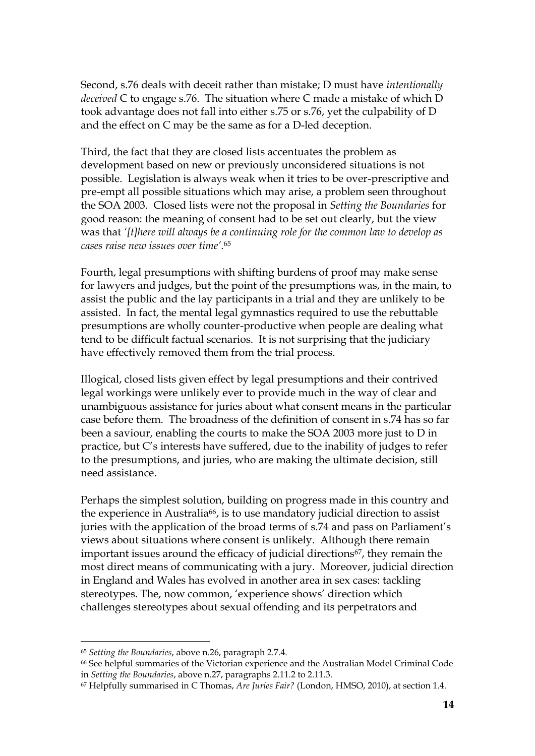Second, s.76 deals with deceit rather than mistake; D must have *intentionally deceived* C to engage s.76. The situation where C made a mistake of which D took advantage does not fall into either s.75 or s.76, yet the culpability of D and the effect on C may be the same as for a D-led deception.

Third, the fact that they are closed lists accentuates the problem as development based on new or previously unconsidered situations is not possible. Legislation is always weak when it tries to be over-prescriptive and pre-empt all possible situations which may arise, a problem seen throughout the SOA 2003. Closed lists were not the proposal in *Setting the Boundaries* for good reason: the meaning of consent had to be set out clearly, but the view was that *'[t]here will always be a continuing role for the common law to develop as cases raise new issues over time'*. 65

Fourth, legal presumptions with shifting burdens of proof may make sense for lawyers and judges, but the point of the presumptions was, in the main, to assist the public and the lay participants in a trial and they are unlikely to be assisted. In fact, the mental legal gymnastics required to use the rebuttable presumptions are wholly counter-productive when people are dealing what tend to be difficult factual scenarios. It is not surprising that the judiciary have effectively removed them from the trial process.

Illogical, closed lists given effect by legal presumptions and their contrived legal workings were unlikely ever to provide much in the way of clear and unambiguous assistance for juries about what consent means in the particular case before them. The broadness of the definition of consent in s.74 has so far been a saviour, enabling the courts to make the SOA 2003 more just to D in practice, but C's interests have suffered, due to the inability of judges to refer to the presumptions, and juries, who are making the ultimate decision, still need assistance.

Perhaps the simplest solution, building on progress made in this country and the experience in Australia<sup>66</sup>, is to use mandatory judicial direction to assist juries with the application of the broad terms of s.74 and pass on Parliament's views about situations where consent is unlikely. Although there remain important issues around the efficacy of judicial directions<sup>67</sup>, they remain the most direct means of communicating with a jury. Moreover, judicial direction in England and Wales has evolved in another area in sex cases: tackling stereotypes. The, now common, 'experience shows' direction which challenges stereotypes about sexual offending and its perpetrators and

<sup>65</sup> *Setting the Boundaries*, above n.26, paragraph 2.7.4.

<sup>66</sup> See helpful summaries of the Victorian experience and the Australian Model Criminal Code in *Setting the Boundaries*, above n.27, paragraphs 2.11.2 to 2.11.3.

<sup>67</sup> Helpfully summarised in C Thomas, *Are Juries Fair?* (London, HMSO, 2010), at section 1.4.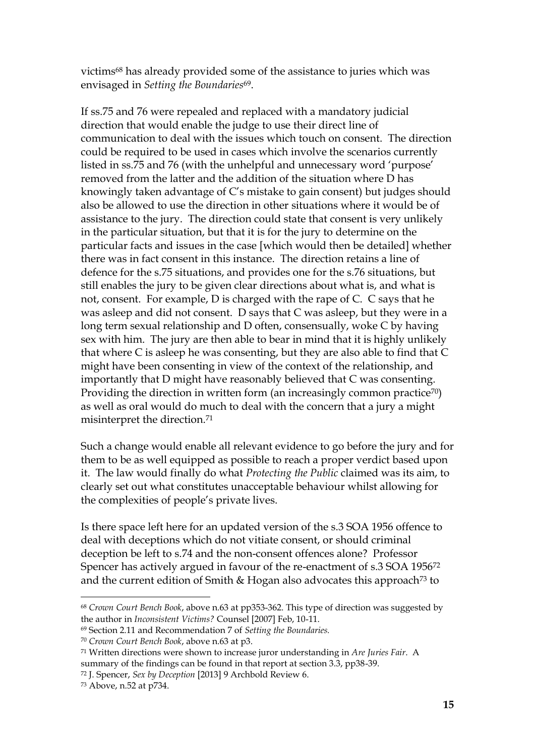victims<sup>68</sup> has already provided some of the assistance to juries which was envisaged in *Setting the Boundaries*69.

If ss.75 and 76 were repealed and replaced with a mandatory judicial direction that would enable the judge to use their direct line of communication to deal with the issues which touch on consent. The direction could be required to be used in cases which involve the scenarios currently listed in ss.75 and 76 (with the unhelpful and unnecessary word 'purpose' removed from the latter and the addition of the situation where D has knowingly taken advantage of C's mistake to gain consent) but judges should also be allowed to use the direction in other situations where it would be of assistance to the jury. The direction could state that consent is very unlikely in the particular situation, but that it is for the jury to determine on the particular facts and issues in the case [which would then be detailed] whether there was in fact consent in this instance. The direction retains a line of defence for the s.75 situations, and provides one for the s.76 situations, but still enables the jury to be given clear directions about what is, and what is not, consent. For example, D is charged with the rape of C. C says that he was asleep and did not consent. D says that C was asleep, but they were in a long term sexual relationship and D often, consensually, woke C by having sex with him. The jury are then able to bear in mind that it is highly unlikely that where C is asleep he was consenting, but they are also able to find that C might have been consenting in view of the context of the relationship, and importantly that D might have reasonably believed that C was consenting. Providing the direction in written form (an increasingly common practice<sup>70</sup>) as well as oral would do much to deal with the concern that a jury a might misinterpret the direction. 71

Such a change would enable all relevant evidence to go before the jury and for them to be as well equipped as possible to reach a proper verdict based upon it. The law would finally do what *Protecting the Public* claimed was its aim, to clearly set out what constitutes unacceptable behaviour whilst allowing for the complexities of people's private lives.

Is there space left here for an updated version of the s.3 SOA 1956 offence to deal with deceptions which do not vitiate consent, or should criminal deception be left to s.74 and the non-consent offences alone? Professor Spencer has actively argued in favour of the re-enactment of s.3 SOA 1956<sup>72</sup> and the current edition of Smith & Hogan also advocates this approach<sup>73</sup> to

<sup>68</sup> *Crown Court Bench Book*, above n.63 at pp353-362. This type of direction was suggested by the author in *Inconsistent Victims?* Counsel [2007] Feb, 10-11.

<sup>69</sup> Section 2.11 and Recommendation 7 of *Setting the Boundaries.*

<sup>70</sup> *Crown Court Bench Book*, above n.63 at p3.

<sup>71</sup> Written directions were shown to increase juror understanding in *Are Juries Fair*. A summary of the findings can be found in that report at section 3.3, pp38-39.

<sup>72</sup> J. Spencer, *Sex by Deception* [2013] 9 Archbold Review 6.

<sup>73</sup> Above, n.52 at p734.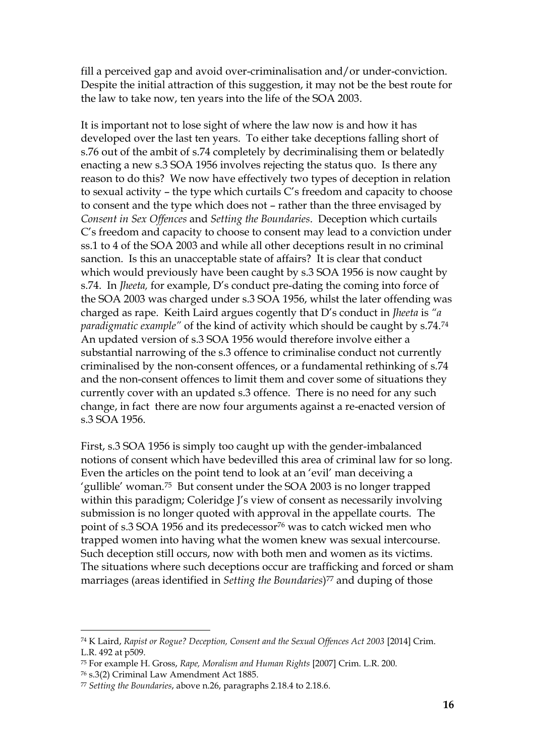fill a perceived gap and avoid over-criminalisation and/or under-conviction. Despite the initial attraction of this suggestion, it may not be the best route for the law to take now, ten years into the life of the SOA 2003.

It is important not to lose sight of where the law now is and how it has developed over the last ten years. To either take deceptions falling short of s.76 out of the ambit of s.74 completely by decriminalising them or belatedly enacting a new s.3 SOA 1956 involves rejecting the status quo. Is there any reason to do this? We now have effectively two types of deception in relation to sexual activity – the type which curtails C's freedom and capacity to choose to consent and the type which does not – rather than the three envisaged by *Consent in Sex Offences* and *Setting the Boundaries*. Deception which curtails C's freedom and capacity to choose to consent may lead to a conviction under ss.1 to 4 of the SOA 2003 and while all other deceptions result in no criminal sanction. Is this an unacceptable state of affairs? It is clear that conduct which would previously have been caught by s.3 SOA 1956 is now caught by s.74. In *Jheeta,* for example, D's conduct pre-dating the coming into force of the SOA 2003 was charged under s.3 SOA 1956, whilst the later offending was charged as rape. Keith Laird argues cogently that D's conduct in *Jheeta* is *"a paradigmatic example"* of the kind of activity which should be caught by s.74.<sup>74</sup> An updated version of s.3 SOA 1956 would therefore involve either a substantial narrowing of the s.3 offence to criminalise conduct not currently criminalised by the non-consent offences, or a fundamental rethinking of s.74 and the non-consent offences to limit them and cover some of situations they currently cover with an updated s.3 offence. There is no need for any such change, in fact there are now four arguments against a re-enacted version of s.3 SOA 1956.

First, s.3 SOA 1956 is simply too caught up with the gender-imbalanced notions of consent which have bedevilled this area of criminal law for so long. Even the articles on the point tend to look at an 'evil' man deceiving a 'gullible' woman.75 But consent under the SOA 2003 is no longer trapped within this paradigm; Coleridge J's view of consent as necessarily involving submission is no longer quoted with approval in the appellate courts. The point of s.3 SOA 1956 and its predecessor<sup>76</sup> was to catch wicked men who trapped women into having what the women knew was sexual intercourse. Such deception still occurs, now with both men and women as its victims. The situations where such deceptions occur are trafficking and forced or sham marriages (areas identified in *Setting the Boundaries*) <sup>77</sup> and duping of those

<sup>74</sup> K Laird, *Rapist or Rogue? Deception, Consent and the Sexual Offences Act 2003* [2014] Crim. L.R. 492 at p509.

<sup>75</sup> For example H. Gross, *Rape, Moralism and Human Rights* [2007] Crim. L.R. 200.

<sup>76</sup> s.3(2) Criminal Law Amendment Act 1885.

<sup>77</sup> *Setting the Boundaries*, above n.26, paragraphs 2.18.4 to 2.18.6.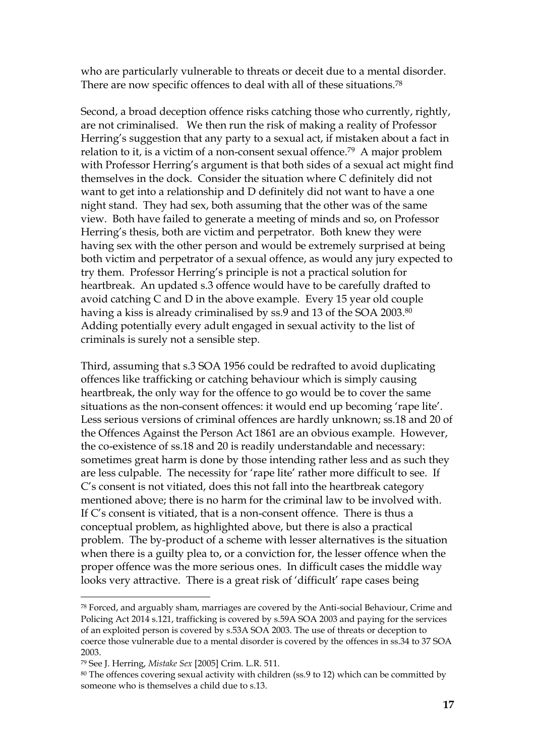who are particularly vulnerable to threats or deceit due to a mental disorder. There are now specific offences to deal with all of these situations.<sup>78</sup>

Second, a broad deception offence risks catching those who currently, rightly, are not criminalised. We then run the risk of making a reality of Professor Herring's suggestion that any party to a sexual act, if mistaken about a fact in relation to it, is a victim of a non-consent sexual offence. <sup>79</sup> A major problem with Professor Herring's argument is that both sides of a sexual act might find themselves in the dock. Consider the situation where C definitely did not want to get into a relationship and D definitely did not want to have a one night stand. They had sex, both assuming that the other was of the same view. Both have failed to generate a meeting of minds and so, on Professor Herring's thesis, both are victim and perpetrator. Both knew they were having sex with the other person and would be extremely surprised at being both victim and perpetrator of a sexual offence, as would any jury expected to try them. Professor Herring's principle is not a practical solution for heartbreak. An updated s.3 offence would have to be carefully drafted to avoid catching C and D in the above example. Every 15 year old couple having a kiss is already criminalised by ss.9 and 13 of the SOA 2003. 80 Adding potentially every adult engaged in sexual activity to the list of criminals is surely not a sensible step.

Third, assuming that s.3 SOA 1956 could be redrafted to avoid duplicating offences like trafficking or catching behaviour which is simply causing heartbreak, the only way for the offence to go would be to cover the same situations as the non-consent offences: it would end up becoming 'rape lite'. Less serious versions of criminal offences are hardly unknown; ss.18 and 20 of the Offences Against the Person Act 1861 are an obvious example. However, the co-existence of ss.18 and 20 is readily understandable and necessary: sometimes great harm is done by those intending rather less and as such they are less culpable. The necessity for 'rape lite' rather more difficult to see. If C's consent is not vitiated, does this not fall into the heartbreak category mentioned above; there is no harm for the criminal law to be involved with. If C's consent is vitiated, that is a non-consent offence. There is thus a conceptual problem, as highlighted above, but there is also a practical problem. The by-product of a scheme with lesser alternatives is the situation when there is a guilty plea to, or a conviction for, the lesser offence when the proper offence was the more serious ones. In difficult cases the middle way looks very attractive. There is a great risk of 'difficult' rape cases being

<sup>78</sup> Forced, and arguably sham, marriages are covered by the Anti-social Behaviour, Crime and Policing Act 2014 s.121, trafficking is covered by s.59A SOA 2003 and paying for the services of an exploited person is covered by s.53A SOA 2003. The use of threats or deception to coerce those vulnerable due to a mental disorder is covered by the offences in ss.34 to 37 SOA 2003.

<sup>79</sup> See J. Herring, *Mistake Sex* [2005] Crim. L.R. 511.

 $80$  The offences covering sexual activity with children (ss.9 to 12) which can be committed by someone who is themselves a child due to s.13.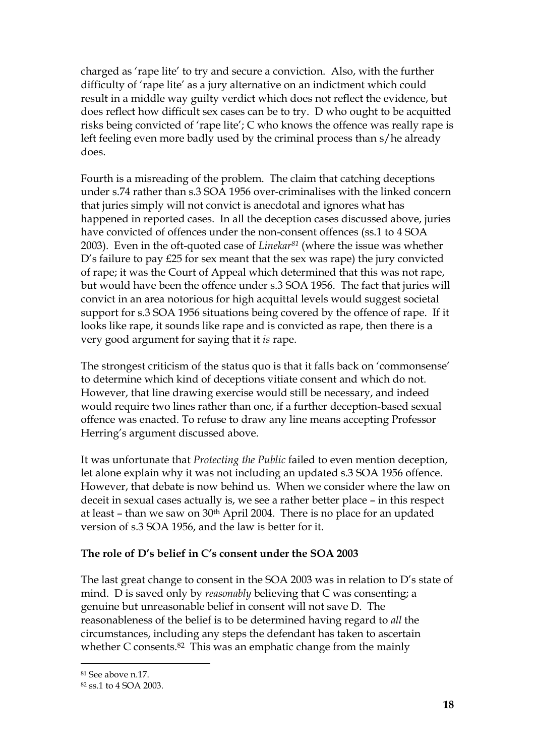charged as 'rape lite' to try and secure a conviction. Also, with the further difficulty of 'rape lite' as a jury alternative on an indictment which could result in a middle way guilty verdict which does not reflect the evidence, but does reflect how difficult sex cases can be to try. D who ought to be acquitted risks being convicted of 'rape lite'; C who knows the offence was really rape is left feeling even more badly used by the criminal process than s/he already does.

Fourth is a misreading of the problem. The claim that catching deceptions under s.74 rather than s.3 SOA 1956 over-criminalises with the linked concern that juries simply will not convict is anecdotal and ignores what has happened in reported cases. In all the deception cases discussed above, juries have convicted of offences under the non-consent offences (ss.1 to 4 SOA 2003). Even in the oft-quoted case of *Linekar<sup>81</sup>* (where the issue was whether D's failure to pay £25 for sex meant that the sex was rape) the jury convicted of rape; it was the Court of Appeal which determined that this was not rape, but would have been the offence under s.3 SOA 1956. The fact that juries will convict in an area notorious for high acquittal levels would suggest societal support for s.3 SOA 1956 situations being covered by the offence of rape. If it looks like rape, it sounds like rape and is convicted as rape, then there is a very good argument for saying that it *is* rape.

The strongest criticism of the status quo is that it falls back on 'commonsense' to determine which kind of deceptions vitiate consent and which do not. However, that line drawing exercise would still be necessary, and indeed would require two lines rather than one, if a further deception-based sexual offence was enacted. To refuse to draw any line means accepting Professor Herring's argument discussed above.

It was unfortunate that *Protecting the Public* failed to even mention deception, let alone explain why it was not including an updated s.3 SOA 1956 offence. However, that debate is now behind us. When we consider where the law on deceit in sexual cases actually is, we see a rather better place – in this respect at least – than we saw on  $30<sup>th</sup>$  April 2004. There is no place for an updated version of s.3 SOA 1956, and the law is better for it.

# **The role of D's belief in C's consent under the SOA 2003**

The last great change to consent in the SOA 2003 was in relation to D's state of mind. D is saved only by *reasonably* believing that C was consenting; a genuine but unreasonable belief in consent will not save D. The reasonableness of the belief is to be determined having regard to *all* the circumstances, including any steps the defendant has taken to ascertain whether C consents.<sup>82</sup> This was an emphatic change from the mainly

<sup>81</sup> See above n.17.

<sup>82</sup> ss.1 to 4 SOA 2003.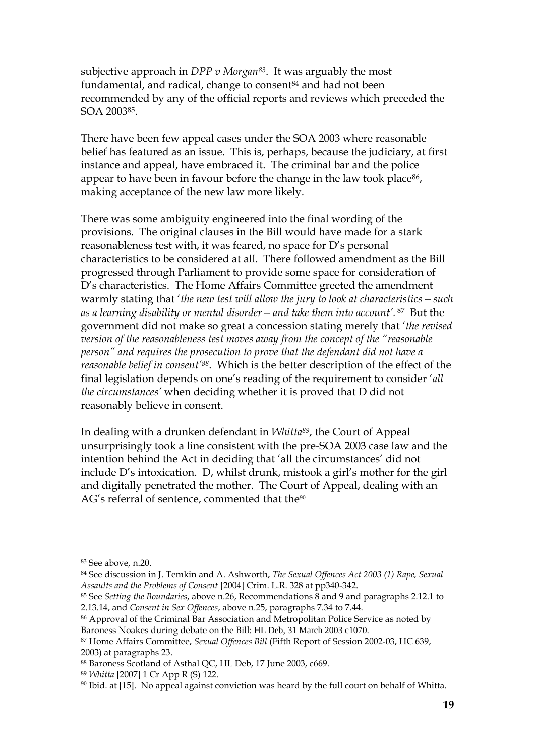subjective approach in *DPP v Morgan83*. It was arguably the most fundamental, and radical, change to consent<sup>84</sup> and had not been recommended by any of the official reports and reviews which preceded the SOA 200385.

There have been few appeal cases under the SOA 2003 where reasonable belief has featured as an issue. This is, perhaps, because the judiciary, at first instance and appeal, have embraced it. The criminal bar and the police appear to have been in favour before the change in the law took place<sup>86</sup>, making acceptance of the new law more likely.

There was some ambiguity engineered into the final wording of the provisions. The original clauses in the Bill would have made for a stark reasonableness test with, it was feared, no space for D's personal characteristics to be considered at all. There followed amendment as the Bill progressed through Parliament to provide some space for consideration of D's characteristics. The Home Affairs Committee greeted the amendment warmly stating that '*the new test will allow the jury to look at characteristics—such as a learning disability or mental disorder—and take them into account'.* <sup>87</sup> But the government did not make so great a concession stating merely that '*the revised version of the reasonableness test moves away from the concept of the "reasonable person" and requires the prosecution to prove that the defendant did not have a reasonable belief in consent'88*. Which is the better description of the effect of the final legislation depends on one's reading of the requirement to consider '*all the circumstances'* when deciding whether it is proved that D did not reasonably believe in consent.

In dealing with a drunken defendant in *Whitta89*, the Court of Appeal unsurprisingly took a line consistent with the pre-SOA 2003 case law and the intention behind the Act in deciding that 'all the circumstances' did not include D's intoxication. D, whilst drunk, mistook a girl's mother for the girl and digitally penetrated the mother. The Court of Appeal, dealing with an AG's referral of sentence, commented that the $90$ 

<sup>83</sup> See above, n.20.

<sup>84</sup> See discussion in J. Temkin and A. Ashworth, *The Sexual Offences Act 2003 (1) Rape, Sexual Assaults and the Problems of Consent* [2004] Crim. L.R. 328 at pp340-342.

<sup>85</sup> See *Setting the Boundaries*, above n.26, Recommendations 8 and 9 and paragraphs 2.12.1 to 2.13.14, and *Consent in Sex Offences*, above n.25, paragraphs 7.34 to 7.44.

<sup>86</sup> Approval of the Criminal Bar Association and Metropolitan Police Service as noted by Baroness Noakes during debate on the Bill: HL Deb, 31 March 2003 c1070.

<sup>87</sup> Home Affairs Committee, *Sexual Offences Bill* (Fifth Report of Session 2002-03, HC 639, 2003) at paragraphs 23.

<sup>88</sup> Baroness Scotland of Asthal QC, HL Deb, 17 June 2003, c669.

<sup>89</sup> *Whitta* [2007] 1 Cr App R (S) 122.

 $90$  Ibid. at [15]. No appeal against conviction was heard by the full court on behalf of Whitta.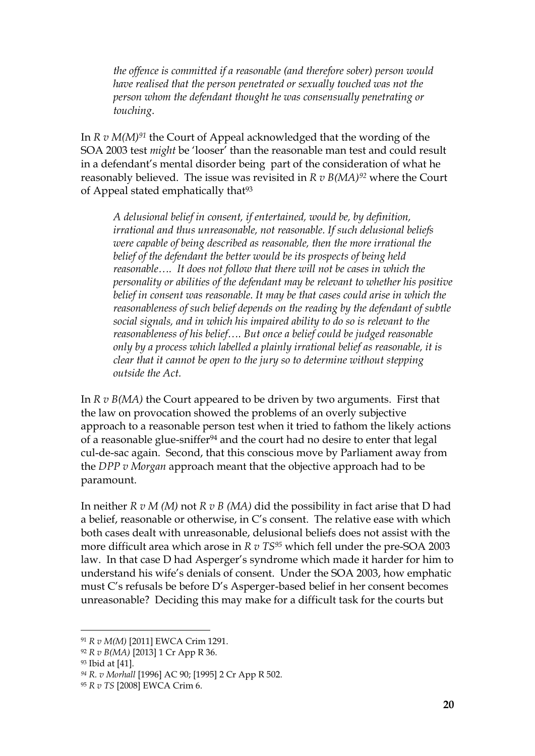*the offence is committed if a reasonable (and therefore sober) person would have realised that the person penetrated or sexually touched was not the person whom the defendant thought he was consensually penetrating or touching*.

In *R v M(M)<sup>91</sup>* the Court of Appeal acknowledged that the wording of the SOA 2003 test *might* be 'looser' than the reasonable man test and could result in a defendant's mental disorder being part of the consideration of what he reasonably believed. The issue was revisited in *R v B(MA)<sup>92</sup>* where the Court of Appeal stated emphatically that<sup>93</sup>

*A delusional belief in consent, if entertained, would be, by definition, irrational and thus unreasonable, not reasonable. If such delusional beliefs were capable of being described as reasonable, then the more irrational the belief of the defendant the better would be its prospects of being held reasonable…. It does not follow that there will not be cases in which the personality or abilities of the defendant may be relevant to whether his positive belief in consent was reasonable. It may be that cases could arise in which the reasonableness of such belief depends on the reading by the defendant of subtle social signals, and in which his impaired ability to do so is relevant to the reasonableness of his belief…. But once a belief could be judged reasonable only by a process which labelled a plainly irrational belief as reasonable, it is clear that it cannot be open to the jury so to determine without stepping outside the Act.*

In *R v B(MA)* the Court appeared to be driven by two arguments. First that the law on provocation showed the problems of an overly subjective approach to a reasonable person test when it tried to fathom the likely actions of a reasonable glue-sniffer<sup>94</sup> and the court had no desire to enter that legal cul-de-sac again. Second, that this conscious move by Parliament away from the *DPP v Morgan* approach meant that the objective approach had to be paramount.

In neither *R v M (M)* not *R v B (MA)* did the possibility in fact arise that D had a belief, reasonable or otherwise, in C's consent. The relative ease with which both cases dealt with unreasonable, delusional beliefs does not assist with the more difficult area which arose in *R v TS<sup>95</sup>* which fell under the pre-SOA 2003 law. In that case D had Asperger's syndrome which made it harder for him to understand his wife's denials of consent. Under the SOA 2003, how emphatic must C's refusals be before D's Asperger-based belief in her consent becomes unreasonable? Deciding this may make for a difficult task for the courts but

<sup>91</sup> *R v M(M)* [2011] EWCA Crim 1291.

<sup>92</sup> *R v B(MA)* [2013] 1 Cr App R 36.

<sup>93</sup> Ibid at [41].

*<sup>94</sup> R. v Morhall* [1996] AC 90; [1995] 2 Cr App R 502.

<sup>95</sup> *R v TS* [2008] EWCA Crim 6.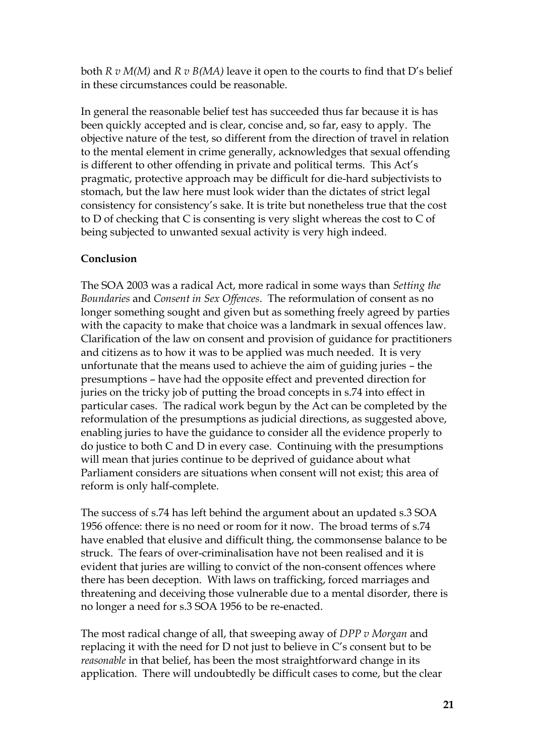both *R v M(M)* and *R v B(MA)* leave it open to the courts to find that D's belief in these circumstances could be reasonable.

In general the reasonable belief test has succeeded thus far because it is has been quickly accepted and is clear, concise and, so far, easy to apply. The objective nature of the test, so different from the direction of travel in relation to the mental element in crime generally, acknowledges that sexual offending is different to other offending in private and political terms. This Act's pragmatic, protective approach may be difficult for die-hard subjectivists to stomach, but the law here must look wider than the dictates of strict legal consistency for consistency's sake. It is trite but nonetheless true that the cost to D of checking that C is consenting is very slight whereas the cost to C of being subjected to unwanted sexual activity is very high indeed.

# **Conclusion**

The SOA 2003 was a radical Act, more radical in some ways than *Setting the Boundaries* and *Consent in Sex Offences*. The reformulation of consent as no longer something sought and given but as something freely agreed by parties with the capacity to make that choice was a landmark in sexual offences law. Clarification of the law on consent and provision of guidance for practitioners and citizens as to how it was to be applied was much needed. It is very unfortunate that the means used to achieve the aim of guiding juries – the presumptions – have had the opposite effect and prevented direction for juries on the tricky job of putting the broad concepts in s.74 into effect in particular cases. The radical work begun by the Act can be completed by the reformulation of the presumptions as judicial directions, as suggested above, enabling juries to have the guidance to consider all the evidence properly to do justice to both C and D in every case. Continuing with the presumptions will mean that juries continue to be deprived of guidance about what Parliament considers are situations when consent will not exist; this area of reform is only half-complete.

The success of s.74 has left behind the argument about an updated s.3 SOA 1956 offence: there is no need or room for it now. The broad terms of s.74 have enabled that elusive and difficult thing, the commonsense balance to be struck. The fears of over-criminalisation have not been realised and it is evident that juries are willing to convict of the non-consent offences where there has been deception. With laws on trafficking, forced marriages and threatening and deceiving those vulnerable due to a mental disorder, there is no longer a need for s.3 SOA 1956 to be re-enacted.

The most radical change of all, that sweeping away of *DPP v Morgan* and replacing it with the need for D not just to believe in C's consent but to be *reasonable* in that belief, has been the most straightforward change in its application. There will undoubtedly be difficult cases to come, but the clear